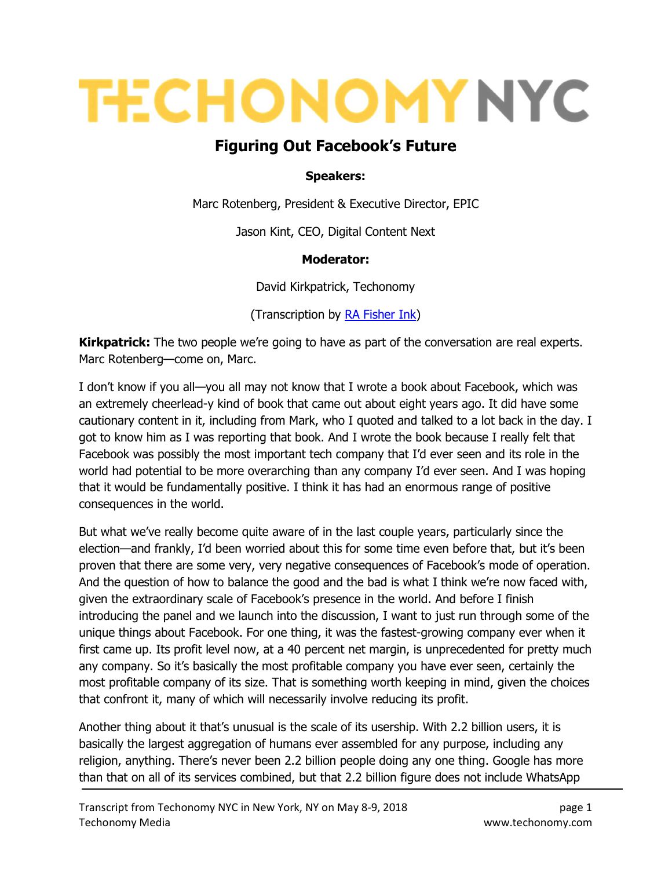# **TECHONOMY NYC**

# Figuring Out Facebook's Future

#### Speakers:

Marc Rotenberg, President & Executive Director, EPIC

Jason Kint, CEO, Digital Content Next

#### Moderator:

David Kirkpatrick, Techonomy

(Transcription by RA Fisher Ink)

**Kirkpatrick:** The two people we're going to have as part of the conversation are real experts. Marc Rotenberg—come on, Marc.

I don't know if you all—you all may not know that I wrote a book about Facebook, which was an extremely cheerlead-y kind of book that came out about eight years ago. It did have some cautionary content in it, including from Mark, who I quoted and talked to a lot back in the day. I got to know him as I was reporting that book. And I wrote the book because I really felt that Facebook was possibly the most important tech company that I'd ever seen and its role in the world had potential to be more overarching than any company I'd ever seen. And I was hoping that it would be fundamentally positive. I think it has had an enormous range of positive consequences in the world.

But what we've really become quite aware of in the last couple years, particularly since the election—and frankly, I'd been worried about this for some time even before that, but it's been proven that there are some very, very negative consequences of Facebook's mode of operation. And the question of how to balance the good and the bad is what I think we're now faced with, given the extraordinary scale of Facebook's presence in the world. And before I finish introducing the panel and we launch into the discussion, I want to just run through some of the unique things about Facebook. For one thing, it was the fastest-growing company ever when it first came up. Its profit level now, at a 40 percent net margin, is unprecedented for pretty much any company. So it's basically the most profitable company you have ever seen, certainly the most profitable company of its size. That is something worth keeping in mind, given the choices that confront it, many of which will necessarily involve reducing its profit.

Another thing about it that's unusual is the scale of its usership. With 2.2 billion users, it is basically the largest aggregation of humans ever assembled for any purpose, including any religion, anything. There's never been 2.2 billion people doing any one thing. Google has more than that on all of its services combined, but that 2.2 billion figure does not include WhatsApp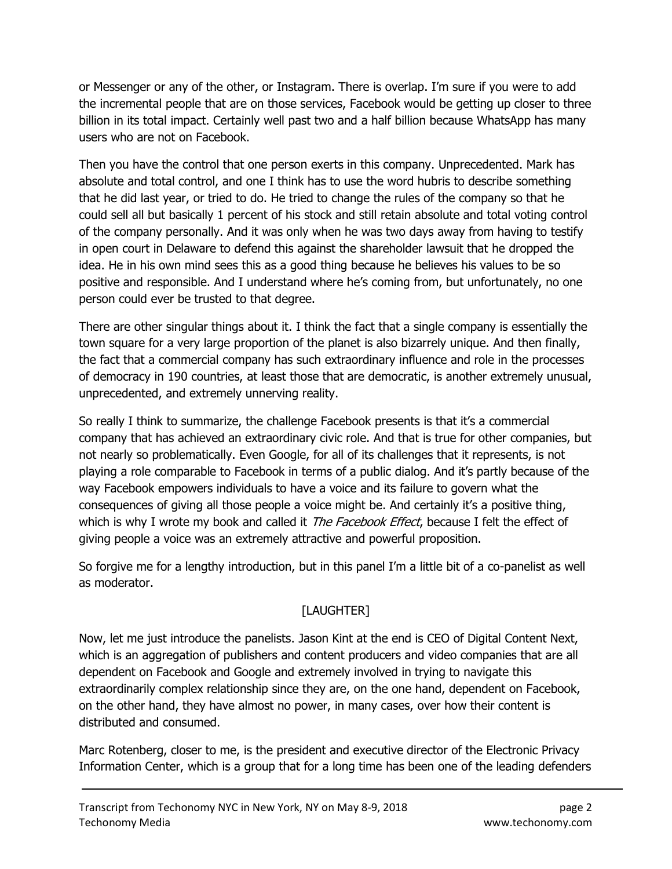or Messenger or any of the other, or Instagram. There is overlap. I'm sure if you were to add the incremental people that are on those services, Facebook would be getting up closer to three billion in its total impact. Certainly well past two and a half billion because WhatsApp has many users who are not on Facebook.

Then you have the control that one person exerts in this company. Unprecedented. Mark has absolute and total control, and one I think has to use the word hubris to describe something that he did last year, or tried to do. He tried to change the rules of the company so that he could sell all but basically 1 percent of his stock and still retain absolute and total voting control of the company personally. And it was only when he was two days away from having to testify in open court in Delaware to defend this against the shareholder lawsuit that he dropped the idea. He in his own mind sees this as a good thing because he believes his values to be so positive and responsible. And I understand where he's coming from, but unfortunately, no one person could ever be trusted to that degree.

There are other singular things about it. I think the fact that a single company is essentially the town square for a very large proportion of the planet is also bizarrely unique. And then finally, the fact that a commercial company has such extraordinary influence and role in the processes of democracy in 190 countries, at least those that are democratic, is another extremely unusual, unprecedented, and extremely unnerving reality.

So really I think to summarize, the challenge Facebook presents is that it's a commercial company that has achieved an extraordinary civic role. And that is true for other companies, but not nearly so problematically. Even Google, for all of its challenges that it represents, is not playing a role comparable to Facebook in terms of a public dialog. And it's partly because of the way Facebook empowers individuals to have a voice and its failure to govern what the consequences of giving all those people a voice might be. And certainly it's a positive thing, which is why I wrote my book and called it *The Facebook Effect*, because I felt the effect of giving people a voice was an extremely attractive and powerful proposition.

So forgive me for a lengthy introduction, but in this panel I'm a little bit of a co-panelist as well as moderator.

# [LAUGHTER]

Now, let me just introduce the panelists. Jason Kint at the end is CEO of Digital Content Next, which is an aggregation of publishers and content producers and video companies that are all dependent on Facebook and Google and extremely involved in trying to navigate this extraordinarily complex relationship since they are, on the one hand, dependent on Facebook, on the other hand, they have almost no power, in many cases, over how their content is distributed and consumed.

Marc Rotenberg, closer to me, is the president and executive director of the Electronic Privacy Information Center, which is a group that for a long time has been one of the leading defenders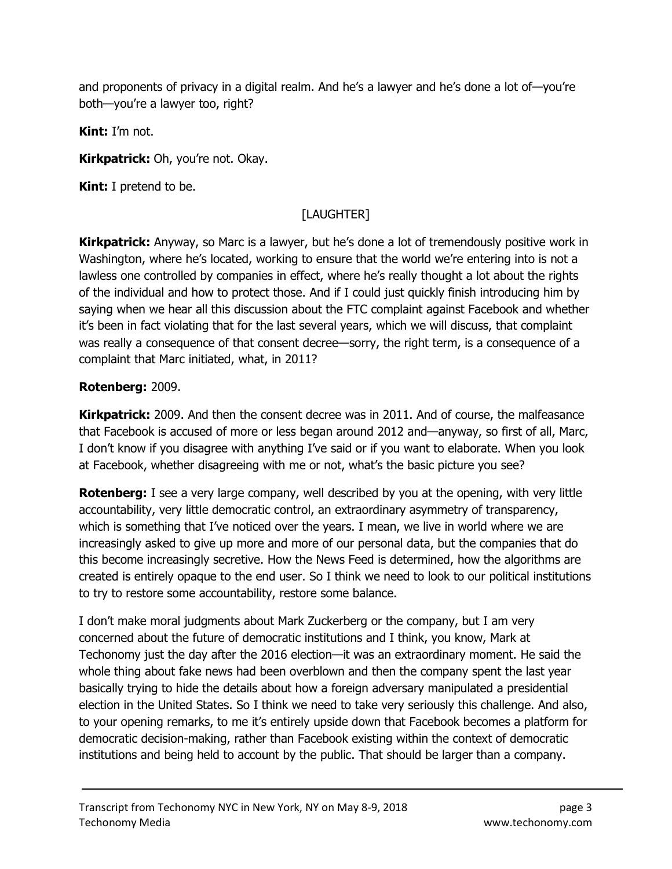and proponents of privacy in a digital realm. And he's a lawyer and he's done a lot of—you're both—you're a lawyer too, right?

Kint: I'm not.

Kirkpatrick: Oh, you're not. Okay.

Kint: I pretend to be.

# [LAUGHTER]

**Kirkpatrick:** Anyway, so Marc is a lawyer, but he's done a lot of tremendously positive work in Washington, where he's located, working to ensure that the world we're entering into is not a lawless one controlled by companies in effect, where he's really thought a lot about the rights of the individual and how to protect those. And if I could just quickly finish introducing him by saying when we hear all this discussion about the FTC complaint against Facebook and whether it's been in fact violating that for the last several years, which we will discuss, that complaint was really a consequence of that consent decree—sorry, the right term, is a consequence of a complaint that Marc initiated, what, in 2011?

#### Rotenberg: 2009.

**Kirkpatrick:** 2009. And then the consent decree was in 2011. And of course, the malfeasance that Facebook is accused of more or less began around 2012 and—anyway, so first of all, Marc, I don't know if you disagree with anything I've said or if you want to elaborate. When you look at Facebook, whether disagreeing with me or not, what's the basic picture you see?

**Rotenberg:** I see a very large company, well described by you at the opening, with very little accountability, very little democratic control, an extraordinary asymmetry of transparency, which is something that I've noticed over the years. I mean, we live in world where we are increasingly asked to give up more and more of our personal data, but the companies that do this become increasingly secretive. How the News Feed is determined, how the algorithms are created is entirely opaque to the end user. So I think we need to look to our political institutions to try to restore some accountability, restore some balance.

I don't make moral judgments about Mark Zuckerberg or the company, but I am very concerned about the future of democratic institutions and I think, you know, Mark at Techonomy just the day after the 2016 election—it was an extraordinary moment. He said the whole thing about fake news had been overblown and then the company spent the last year basically trying to hide the details about how a foreign adversary manipulated a presidential election in the United States. So I think we need to take very seriously this challenge. And also, to your opening remarks, to me it's entirely upside down that Facebook becomes a platform for democratic decision-making, rather than Facebook existing within the context of democratic institutions and being held to account by the public. That should be larger than a company.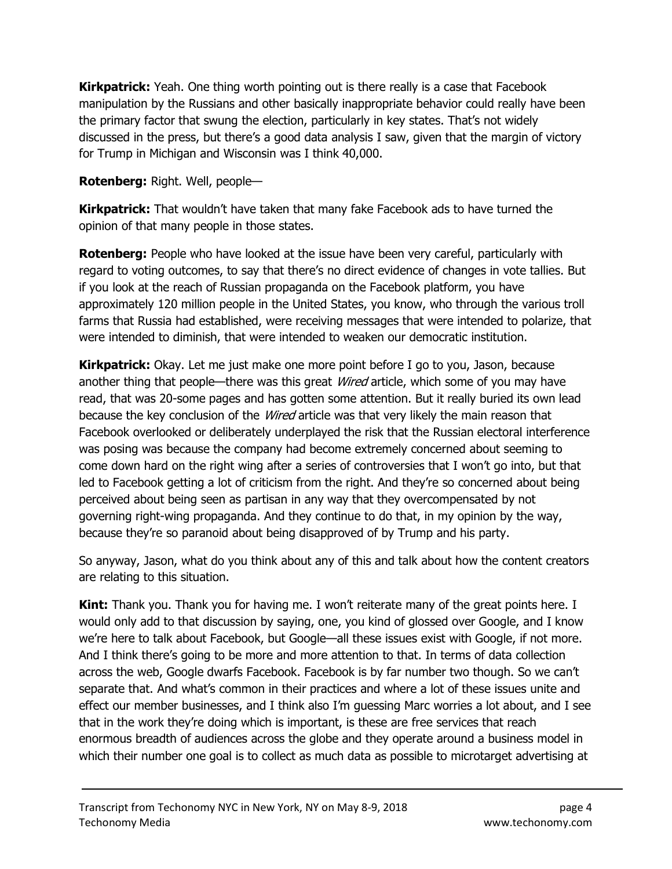**Kirkpatrick:** Yeah. One thing worth pointing out is there really is a case that Facebook manipulation by the Russians and other basically inappropriate behavior could really have been the primary factor that swung the election, particularly in key states. That's not widely discussed in the press, but there's a good data analysis I saw, given that the margin of victory for Trump in Michigan and Wisconsin was I think 40,000.

Rotenberg: Right. Well, people—

**Kirkpatrick:** That wouldn't have taken that many fake Facebook ads to have turned the opinion of that many people in those states.

**Rotenberg:** People who have looked at the issue have been very careful, particularly with regard to voting outcomes, to say that there's no direct evidence of changes in vote tallies. But if you look at the reach of Russian propaganda on the Facebook platform, you have approximately 120 million people in the United States, you know, who through the various troll farms that Russia had established, were receiving messages that were intended to polarize, that were intended to diminish, that were intended to weaken our democratic institution.

**Kirkpatrick:** Okay. Let me just make one more point before I go to you, Jason, because another thing that people—there was this great *Wired* article, which some of you may have read, that was 20-some pages and has gotten some attention. But it really buried its own lead because the key conclusion of the *Wired* article was that very likely the main reason that Facebook overlooked or deliberately underplayed the risk that the Russian electoral interference was posing was because the company had become extremely concerned about seeming to come down hard on the right wing after a series of controversies that I won't go into, but that led to Facebook getting a lot of criticism from the right. And they're so concerned about being perceived about being seen as partisan in any way that they overcompensated by not governing right-wing propaganda. And they continue to do that, in my opinion by the way, because they're so paranoid about being disapproved of by Trump and his party.

So anyway, Jason, what do you think about any of this and talk about how the content creators are relating to this situation.

**Kint:** Thank you. Thank you for having me. I won't reiterate many of the great points here. I would only add to that discussion by saying, one, you kind of glossed over Google, and I know we're here to talk about Facebook, but Google—all these issues exist with Google, if not more. And I think there's going to be more and more attention to that. In terms of data collection across the web, Google dwarfs Facebook. Facebook is by far number two though. So we can't separate that. And what's common in their practices and where a lot of these issues unite and effect our member businesses, and I think also I'm guessing Marc worries a lot about, and I see that in the work they're doing which is important, is these are free services that reach enormous breadth of audiences across the globe and they operate around a business model in which their number one goal is to collect as much data as possible to microtarget advertising at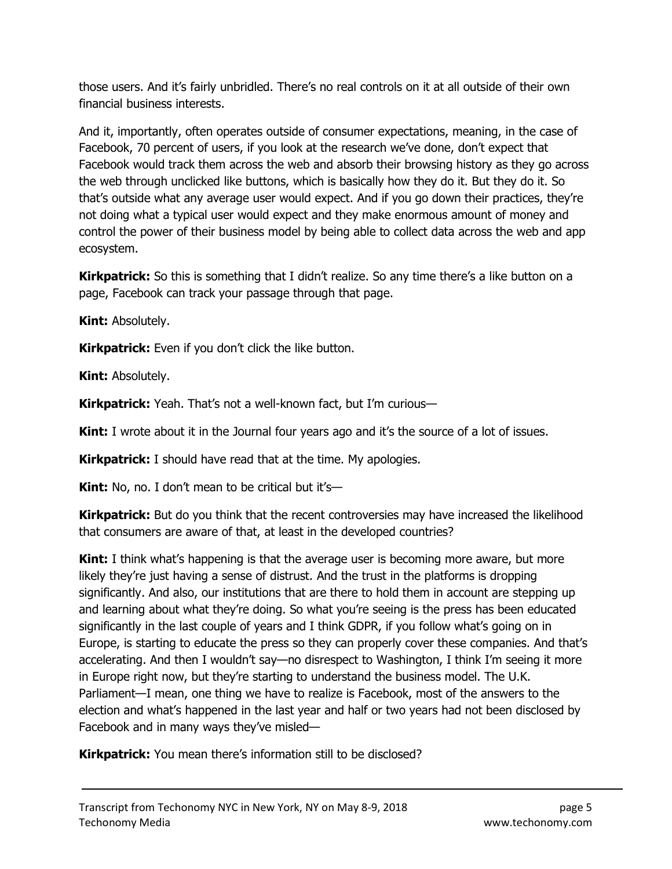those users. And it's fairly unbridled. There's no real controls on it at all outside of their own financial business interests.

And it, importantly, often operates outside of consumer expectations, meaning, in the case of Facebook, 70 percent of users, if you look at the research we've done, don't expect that Facebook would track them across the web and absorb their browsing history as they go across the web through unclicked like buttons, which is basically how they do it. But they do it. So that's outside what any average user would expect. And if you go down their practices, they're not doing what a typical user would expect and they make enormous amount of money and control the power of their business model by being able to collect data across the web and app ecosystem.

Kirkpatrick: So this is something that I didn't realize. So any time there's a like button on a page, Facebook can track your passage through that page.

Kint: Absolutely.

**Kirkpatrick:** Even if you don't click the like button.

Kint: Absolutely.

Kirkpatrick: Yeah. That's not a well-known fact, but I'm curious-

**Kint:** I wrote about it in the Journal four years ago and it's the source of a lot of issues.

**Kirkpatrick:** I should have read that at the time. My apologies.

**Kint:** No, no. I don't mean to be critical but it's—

**Kirkpatrick:** But do you think that the recent controversies may have increased the likelihood that consumers are aware of that, at least in the developed countries?

**Kint:** I think what's happening is that the average user is becoming more aware, but more likely they're just having a sense of distrust. And the trust in the platforms is dropping significantly. And also, our institutions that are there to hold them in account are stepping up and learning about what they're doing. So what you're seeing is the press has been educated significantly in the last couple of years and I think GDPR, if you follow what's going on in Europe, is starting to educate the press so they can properly cover these companies. And that's accelerating. And then I wouldn't say—no disrespect to Washington, I think I'm seeing it more in Europe right now, but they're starting to understand the business model. The U.K. Parliament—I mean, one thing we have to realize is Facebook, most of the answers to the election and what's happened in the last year and half or two years had not been disclosed by Facebook and in many ways they've misled—

Kirkpatrick: You mean there's information still to be disclosed?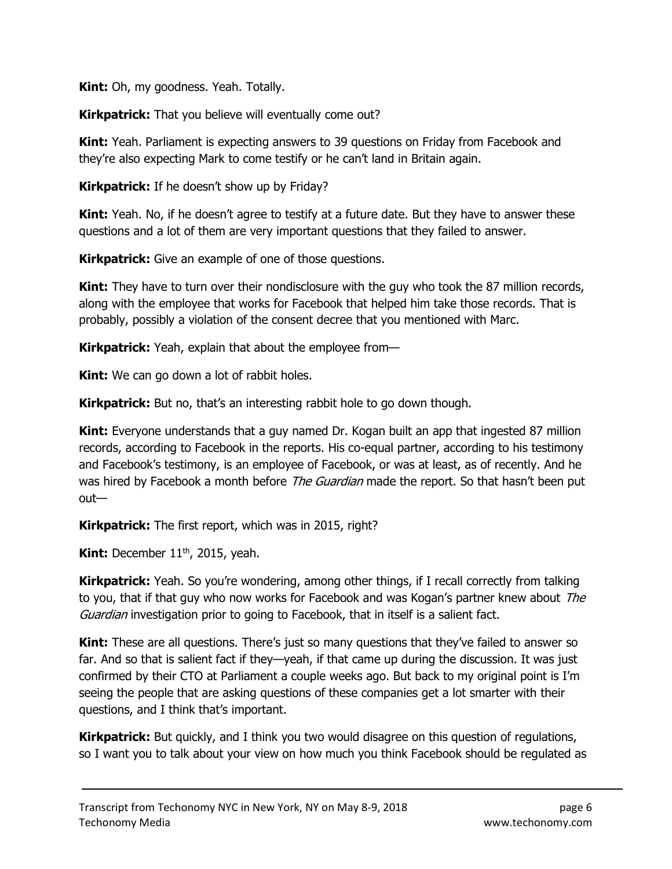**Kint:** Oh, my goodness. Yeah. Totally.

Kirkpatrick: That you believe will eventually come out?

**Kint:** Yeah. Parliament is expecting answers to 39 questions on Friday from Facebook and they're also expecting Mark to come testify or he can't land in Britain again.

Kirkpatrick: If he doesn't show up by Friday?

**Kint:** Yeah. No, if he doesn't agree to testify at a future date. But they have to answer these questions and a lot of them are very important questions that they failed to answer.

**Kirkpatrick:** Give an example of one of those questions.

**Kint:** They have to turn over their nondisclosure with the guy who took the 87 million records, along with the employee that works for Facebook that helped him take those records. That is probably, possibly a violation of the consent decree that you mentioned with Marc.

**Kirkpatrick:** Yeah, explain that about the employee from—

**Kint:** We can go down a lot of rabbit holes.

Kirkpatrick: But no, that's an interesting rabbit hole to go down though.

**Kint:** Everyone understands that a guy named Dr. Kogan built an app that ingested 87 million records, according to Facebook in the reports. His co-equal partner, according to his testimony and Facebook's testimony, is an employee of Facebook, or was at least, as of recently. And he was hired by Facebook a month before *The Guardian* made the report. So that hasn't been put out—

Kirkpatrick: The first report, which was in 2015, right?

**Kint:** December  $11<sup>th</sup>$ , 2015, yeah.

**Kirkpatrick:** Yeah. So you're wondering, among other things, if I recall correctly from talking to you, that if that guy who now works for Facebook and was Kogan's partner knew about The Guardian investigation prior to going to Facebook, that in itself is a salient fact.

**Kint:** These are all questions. There's just so many questions that they've failed to answer so far. And so that is salient fact if they—yeah, if that came up during the discussion. It was just confirmed by their CTO at Parliament a couple weeks ago. But back to my original point is I'm seeing the people that are asking questions of these companies get a lot smarter with their questions, and I think that's important.

**Kirkpatrick:** But quickly, and I think you two would disagree on this question of regulations, so I want you to talk about your view on how much you think Facebook should be regulated as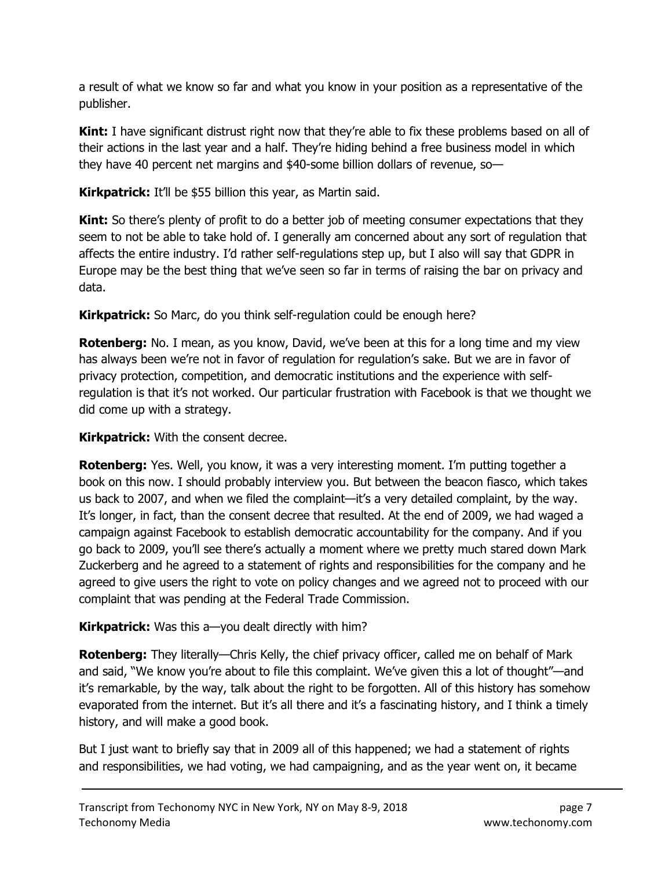a result of what we know so far and what you know in your position as a representative of the publisher.

**Kint:** I have significant distrust right now that they're able to fix these problems based on all of their actions in the last year and a half. They're hiding behind a free business model in which they have 40 percent net margins and \$40-some billion dollars of revenue, so—

Kirkpatrick: It'll be \$55 billion this year, as Martin said.

**Kint:** So there's plenty of profit to do a better job of meeting consumer expectations that they seem to not be able to take hold of. I generally am concerned about any sort of regulation that affects the entire industry. I'd rather self-regulations step up, but I also will say that GDPR in Europe may be the best thing that we've seen so far in terms of raising the bar on privacy and data.

Kirkpatrick: So Marc, do you think self-regulation could be enough here?

**Rotenberg:** No. I mean, as you know, David, we've been at this for a long time and my view has always been we're not in favor of regulation for regulation's sake. But we are in favor of privacy protection, competition, and democratic institutions and the experience with selfregulation is that it's not worked. Our particular frustration with Facebook is that we thought we did come up with a strategy.

**Kirkpatrick:** With the consent decree.

**Rotenberg:** Yes. Well, you know, it was a very interesting moment. I'm putting together a book on this now. I should probably interview you. But between the beacon fiasco, which takes us back to 2007, and when we filed the complaint—it's a very detailed complaint, by the way. It's longer, in fact, than the consent decree that resulted. At the end of 2009, we had waged a campaign against Facebook to establish democratic accountability for the company. And if you go back to 2009, you'll see there's actually a moment where we pretty much stared down Mark Zuckerberg and he agreed to a statement of rights and responsibilities for the company and he agreed to give users the right to vote on policy changes and we agreed not to proceed with our complaint that was pending at the Federal Trade Commission.

# Kirkpatrick: Was this a-you dealt directly with him?

**Rotenberg:** They literally—Chris Kelly, the chief privacy officer, called me on behalf of Mark and said, "We know you're about to file this complaint. We've given this a lot of thought"—and it's remarkable, by the way, talk about the right to be forgotten. All of this history has somehow evaporated from the internet. But it's all there and it's a fascinating history, and I think a timely history, and will make a good book.

But I just want to briefly say that in 2009 all of this happened; we had a statement of rights and responsibilities, we had voting, we had campaigning, and as the year went on, it became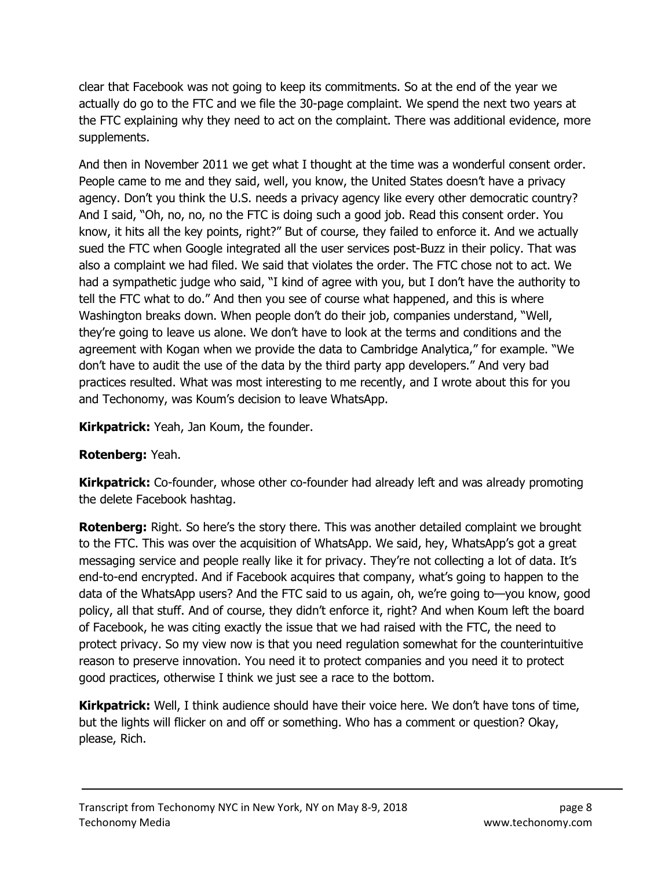clear that Facebook was not going to keep its commitments. So at the end of the year we actually do go to the FTC and we file the 30-page complaint. We spend the next two years at the FTC explaining why they need to act on the complaint. There was additional evidence, more supplements.

And then in November 2011 we get what I thought at the time was a wonderful consent order. People came to me and they said, well, you know, the United States doesn't have a privacy agency. Don't you think the U.S. needs a privacy agency like every other democratic country? And I said, "Oh, no, no, no the FTC is doing such a good job. Read this consent order. You know, it hits all the key points, right?" But of course, they failed to enforce it. And we actually sued the FTC when Google integrated all the user services post-Buzz in their policy. That was also a complaint we had filed. We said that violates the order. The FTC chose not to act. We had a sympathetic judge who said, "I kind of agree with you, but I don't have the authority to tell the FTC what to do." And then you see of course what happened, and this is where Washington breaks down. When people don't do their job, companies understand, "Well, they're going to leave us alone. We don't have to look at the terms and conditions and the agreement with Kogan when we provide the data to Cambridge Analytica," for example. "We don't have to audit the use of the data by the third party app developers." And very bad practices resulted. What was most interesting to me recently, and I wrote about this for you and Techonomy, was Koum's decision to leave WhatsApp.

**Kirkpatrick:** Yeah, Jan Koum, the founder.

# Rotenberg: Yeah.

**Kirkpatrick:** Co-founder, whose other co-founder had already left and was already promoting the delete Facebook hashtag.

**Rotenberg:** Right. So here's the story there. This was another detailed complaint we brought to the FTC. This was over the acquisition of WhatsApp. We said, hey, WhatsApp's got a great messaging service and people really like it for privacy. They're not collecting a lot of data. It's end-to-end encrypted. And if Facebook acquires that company, what's going to happen to the data of the WhatsApp users? And the FTC said to us again, oh, we're going to—you know, good policy, all that stuff. And of course, they didn't enforce it, right? And when Koum left the board of Facebook, he was citing exactly the issue that we had raised with the FTC, the need to protect privacy. So my view now is that you need regulation somewhat for the counterintuitive reason to preserve innovation. You need it to protect companies and you need it to protect good practices, otherwise I think we just see a race to the bottom.

**Kirkpatrick:** Well, I think audience should have their voice here. We don't have tons of time, but the lights will flicker on and off or something. Who has a comment or question? Okay, please, Rich.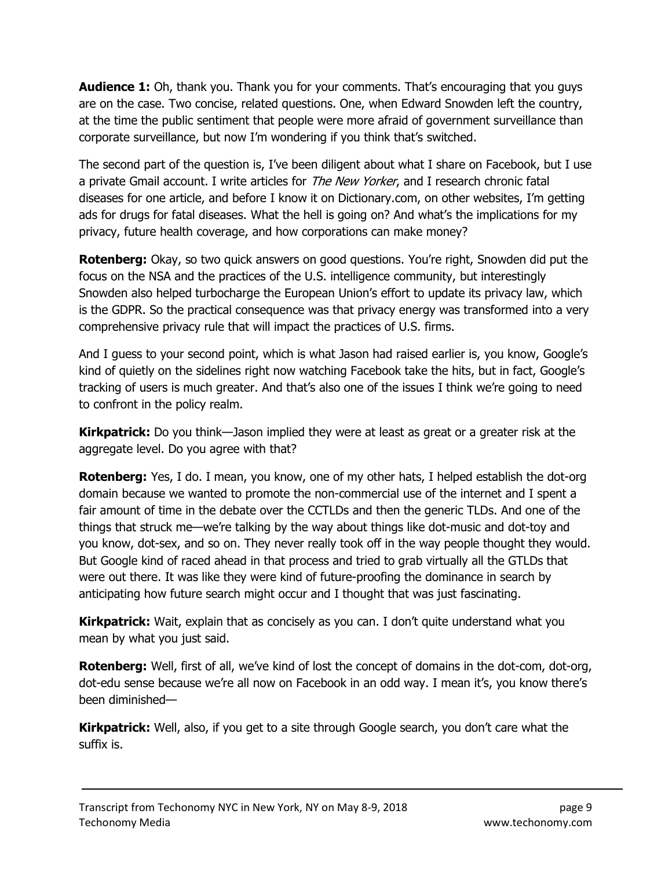**Audience 1:** Oh, thank you. Thank you for your comments. That's encouraging that you guys are on the case. Two concise, related questions. One, when Edward Snowden left the country, at the time the public sentiment that people were more afraid of government surveillance than corporate surveillance, but now I'm wondering if you think that's switched.

The second part of the question is, I've been diligent about what I share on Facebook, but I use a private Gmail account. I write articles for *The New Yorker*, and I research chronic fatal diseases for one article, and before I know it on Dictionary.com, on other websites, I'm getting ads for drugs for fatal diseases. What the hell is going on? And what's the implications for my privacy, future health coverage, and how corporations can make money?

**Rotenberg:** Okay, so two quick answers on good questions. You're right, Snowden did put the focus on the NSA and the practices of the U.S. intelligence community, but interestingly Snowden also helped turbocharge the European Union's effort to update its privacy law, which is the GDPR. So the practical consequence was that privacy energy was transformed into a very comprehensive privacy rule that will impact the practices of U.S. firms.

And I guess to your second point, which is what Jason had raised earlier is, you know, Google's kind of quietly on the sidelines right now watching Facebook take the hits, but in fact, Google's tracking of users is much greater. And that's also one of the issues I think we're going to need to confront in the policy realm.

**Kirkpatrick:** Do you think—Jason implied they were at least as great or a greater risk at the aggregate level. Do you agree with that?

**Rotenberg:** Yes, I do. I mean, you know, one of my other hats, I helped establish the dot-org domain because we wanted to promote the non-commercial use of the internet and I spent a fair amount of time in the debate over the CCTLDs and then the generic TLDs. And one of the things that struck me—we're talking by the way about things like dot-music and dot-toy and you know, dot-sex, and so on. They never really took off in the way people thought they would. But Google kind of raced ahead in that process and tried to grab virtually all the GTLDs that were out there. It was like they were kind of future-proofing the dominance in search by anticipating how future search might occur and I thought that was just fascinating.

**Kirkpatrick:** Wait, explain that as concisely as you can. I don't quite understand what you mean by what you just said.

**Rotenberg:** Well, first of all, we've kind of lost the concept of domains in the dot-com, dot-org, dot-edu sense because we're all now on Facebook in an odd way. I mean it's, you know there's been diminished—

**Kirkpatrick:** Well, also, if you get to a site through Google search, you don't care what the suffix is.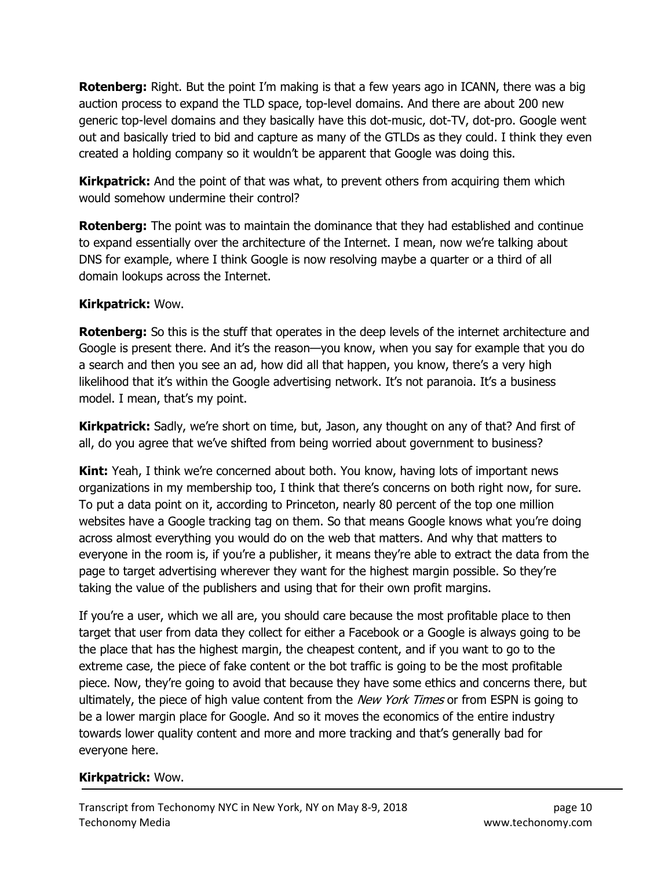**Rotenberg:** Right. But the point I'm making is that a few years ago in ICANN, there was a big auction process to expand the TLD space, top-level domains. And there are about 200 new generic top-level domains and they basically have this dot-music, dot-TV, dot-pro. Google went out and basically tried to bid and capture as many of the GTLDs as they could. I think they even created a holding company so it wouldn't be apparent that Google was doing this.

**Kirkpatrick:** And the point of that was what, to prevent others from acquiring them which would somehow undermine their control?

**Rotenberg:** The point was to maintain the dominance that they had established and continue to expand essentially over the architecture of the Internet. I mean, now we're talking about DNS for example, where I think Google is now resolving maybe a quarter or a third of all domain lookups across the Internet.

#### Kirkpatrick: Wow.

Rotenberg: So this is the stuff that operates in the deep levels of the internet architecture and Google is present there. And it's the reason—you know, when you say for example that you do a search and then you see an ad, how did all that happen, you know, there's a very high likelihood that it's within the Google advertising network. It's not paranoia. It's a business model. I mean, that's my point.

Kirkpatrick: Sadly, we're short on time, but, Jason, any thought on any of that? And first of all, do you agree that we've shifted from being worried about government to business?

**Kint:** Yeah, I think we're concerned about both. You know, having lots of important news organizations in my membership too, I think that there's concerns on both right now, for sure. To put a data point on it, according to Princeton, nearly 80 percent of the top one million websites have a Google tracking tag on them. So that means Google knows what you're doing across almost everything you would do on the web that matters. And why that matters to everyone in the room is, if you're a publisher, it means they're able to extract the data from the page to target advertising wherever they want for the highest margin possible. So they're taking the value of the publishers and using that for their own profit margins.

If you're a user, which we all are, you should care because the most profitable place to then target that user from data they collect for either a Facebook or a Google is always going to be the place that has the highest margin, the cheapest content, and if you want to go to the extreme case, the piece of fake content or the bot traffic is going to be the most profitable piece. Now, they're going to avoid that because they have some ethics and concerns there, but ultimately, the piece of high value content from the New York Times or from ESPN is going to be a lower margin place for Google. And so it moves the economics of the entire industry towards lower quality content and more and more tracking and that's generally bad for everyone here.

# Kirkpatrick: Wow.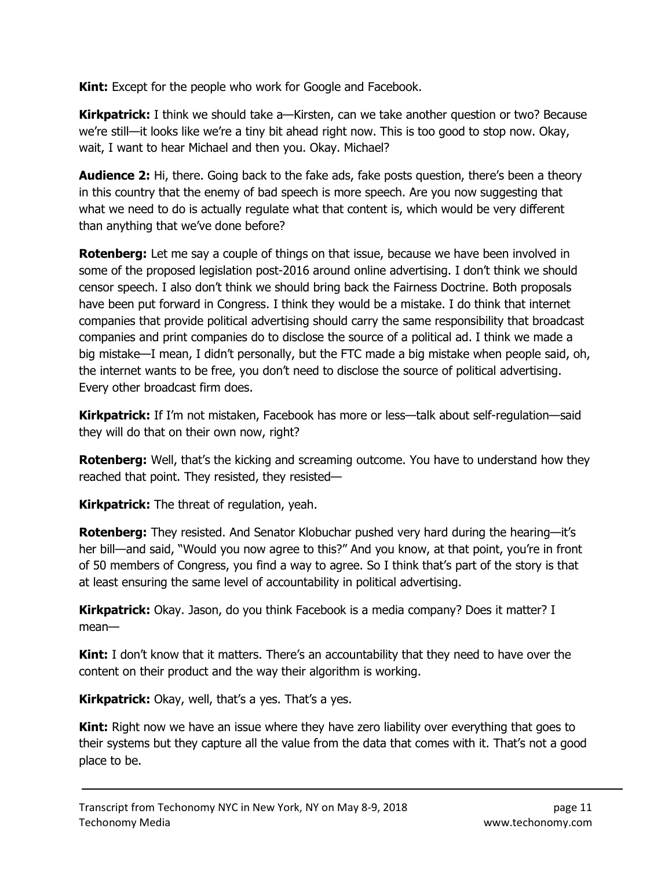**Kint:** Except for the people who work for Google and Facebook.

Kirkpatrick: I think we should take a—Kirsten, can we take another question or two? Because we're still—it looks like we're a tiny bit ahead right now. This is too good to stop now. Okay, wait, I want to hear Michael and then you. Okay. Michael?

**Audience 2:** Hi, there. Going back to the fake ads, fake posts question, there's been a theory in this country that the enemy of bad speech is more speech. Are you now suggesting that what we need to do is actually regulate what that content is, which would be very different than anything that we've done before?

**Rotenberg:** Let me say a couple of things on that issue, because we have been involved in some of the proposed legislation post-2016 around online advertising. I don't think we should censor speech. I also don't think we should bring back the Fairness Doctrine. Both proposals have been put forward in Congress. I think they would be a mistake. I do think that internet companies that provide political advertising should carry the same responsibility that broadcast companies and print companies do to disclose the source of a political ad. I think we made a big mistake—I mean, I didn't personally, but the FTC made a big mistake when people said, oh, the internet wants to be free, you don't need to disclose the source of political advertising. Every other broadcast firm does.

Kirkpatrick: If I'm not mistaken, Facebook has more or less—talk about self-regulation—said they will do that on their own now, right?

**Rotenberg:** Well, that's the kicking and screaming outcome. You have to understand how they reached that point. They resisted, they resisted—

**Kirkpatrick:** The threat of regulation, yeah.

Rotenberg: They resisted. And Senator Klobuchar pushed very hard during the hearing—it's her bill—and said, "Would you now agree to this?" And you know, at that point, you're in front of 50 members of Congress, you find a way to agree. So I think that's part of the story is that at least ensuring the same level of accountability in political advertising.

**Kirkpatrick:** Okay. Jason, do you think Facebook is a media company? Does it matter? I mean—

**Kint:** I don't know that it matters. There's an accountability that they need to have over the content on their product and the way their algorithm is working.

Kirkpatrick: Okay, well, that's a yes. That's a yes.

**Kint:** Right now we have an issue where they have zero liability over everything that goes to their systems but they capture all the value from the data that comes with it. That's not a good place to be.